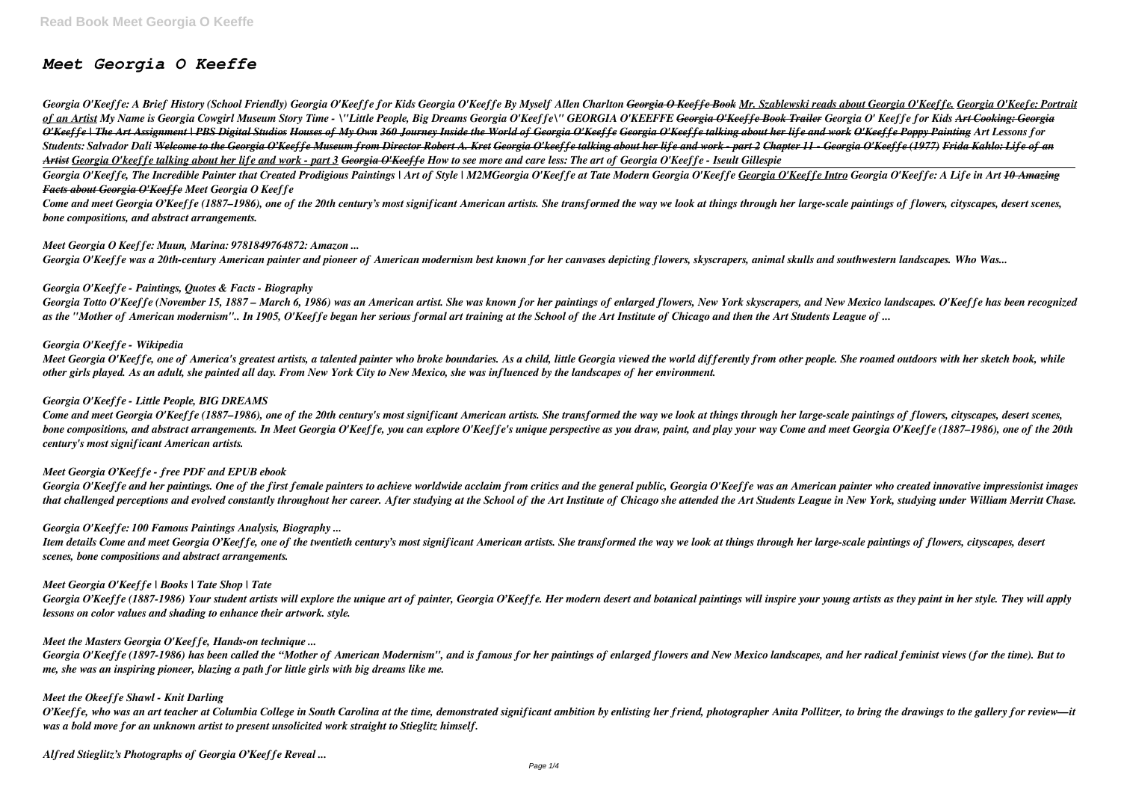# *Meet Georgia O Keeffe*

Georgia O'Keeffe: A Brief History (School Friendly) Georgia O'Keeffe for Kids Georgia O'Keeffe By Myself Allen Charlton Georgia O Keeffe Book Mr. Szablewski reads about Georgia O'Keeffe. Georgia O'Keefe: Portrait of an Artist My Name is Georgia Cowgirl Museum Story Time - \"Little People, Big Dreams Georgia O'Keeffe\" GEORGIA O'KEEFFE Georgia O'Keeffe Book Trailer Georgia O'Keeffe for Kids Art Cooking: Georgia O'Keeffe | The Art Assignment | PBS Digital Studios Houses of My Own 360 Journey Inside the World of Georgia O'Keeffe Georgia O'Keeffe talking about her life and work O'Keeffe Poppy Painting Art Lessons for Students: Salvador Dali Welcome to the Georgia O'Keeffe Museum from Director Robert A. Kret Georgia O'keeffe talking about her life and work - part 2 Chapter 11 - Georgia O'Keeffe (1977) Frida Kahlo: Life of an *Artist Georgia O'keeffe talking about her life and work - part 3 Georgia O'Keeffe How to see more and care less: The art of Georgia O'Keeffe - Iseult Gillespie*

Georgia O'Keeffe. The Incredible Painter that Created Prodigious Paintings | Art of Style | M2MGeorgia O'Keeffe at Tate Modern Georgia O'Keeffe Georgia O'Keeffe Intro Georgia O'Keeffe: A Life in Art <del>10 Amazing</del> *Facts about Georgia O'Keeffe Meet Georgia O Keeffe*

Come and meet Georgia O'Keeffe (1887–1986), one of the 20th century's most significant American artists. She transformed the way we look at things through her large-scale paintings of flowers, cityscapes, desert scenes. *bone compositions, and abstract arrangements.*

Meet Georgia O'Keeffe, one of America's greatest artists, a talented painter who broke boundaries. As a child, little Georgia viewed the world differently from other people. She roamed outdoors with her sketch book, while *other girls played. As an adult, she painted all day. From New York City to New Mexico, she was influenced by the landscapes of her environment.*

### *Meet Georgia O Keeffe: Muun, Marina: 9781849764872: Amazon ...*

Come and meet Georgia O'Keeffe (1887–1986), one of the 20th century's most significant American artists. She transformed the way we look at things through her large-scale paintings of flowers, cityscapes, desert scenes, *bone compositions, and abstract arrangements. In Meet Georgia O'Keeffe, you can explore O'Keeffe's unique perspective as you draw, paint, and play your way Come and meet Georgia O'Keeffe (1887–1986), one of the 20th century's most significant American artists.*

*Georgia O'Keeffe was a 20th-century American painter and pioneer of American modernism best known for her canvases depicting flowers, skyscrapers, animal skulls and southwestern landscapes. Who Was...*

### *Georgia O'Keeffe - Paintings, Quotes & Facts - Biography*

*Georgia Totto O'Keeffe (November 15, 1887 – March 6, 1986) was an American artist. She was known for her paintings of enlarged flowers, New York skyscrapers, and New Mexico landscapes. O'Keeffe has been recognized as the "Mother of American modernism".. In 1905, O'Keeffe began her serious formal art training at the School of the Art Institute of Chicago and then the Art Students League of ...*

Georgia O'Keeffe (1887-1986) Your student artists will explore the unique art of painter, Georgia O'Keeffe. Her modern desert and botanical paintings will inspire your young artists as they paint in her style. They will ap *lessons on color values and shading to enhance their artwork. style.*

### *Georgia O'Keeffe - Wikipedia*

O'Keeffe, who was an art teacher at Columbia College in South Carolina at the time, demonstrated significant ambition by enlisting her friend, photographer Anita Pollitzer, to bring the drawings to the gallery for review-i *was a bold move for an unknown artist to present unsolicited work straight to Stieglitz himself.*

### *Georgia O'Keeffe - Little People, BIG DREAMS*

### *Meet Georgia O'Keeffe - free PDF and EPUB ebook*

Georgia O'Keeffe and her paintings. One of the first female painters to achieve worldwide acclaim from critics and the general public, Georgia O'Keeffe was an American painter who created innovative impressionist images that challenged perceptions and evolved constantly throughout her career. After studying at the School of the Art Institute of Chicago she attended the Art Students League in New York, studying under William Merritt Chase.

### *Georgia O'Keeffe: 100 Famous Paintings Analysis, Biography ...*

*Item details Come and meet Georgia O'Keeffe, one of the twentieth century's most significant American artists. She transformed the way we look at things through her large-scale paintings of flowers, cityscapes, desert scenes, bone compositions and abstract arrangements.*

#### *Meet Georgia O'Keeffe | Books | Tate Shop | Tate*

### *Meet the Masters Georgia O'Keeffe, Hands-on technique ...*

*Georgia O'Keeffe (1897-1986) has been called the "Mother of American Modernism", and is famous for her paintings of enlarged flowers and New Mexico landscapes, and her radical feminist views (for the time). But to me, she was an inspiring pioneer, blazing a path for little girls with big dreams like me.*

### *Meet the Okeeffe Shawl - Knit Darling*

*Alfred Stieglitz's Photographs of Georgia O'Keeffe Reveal ...*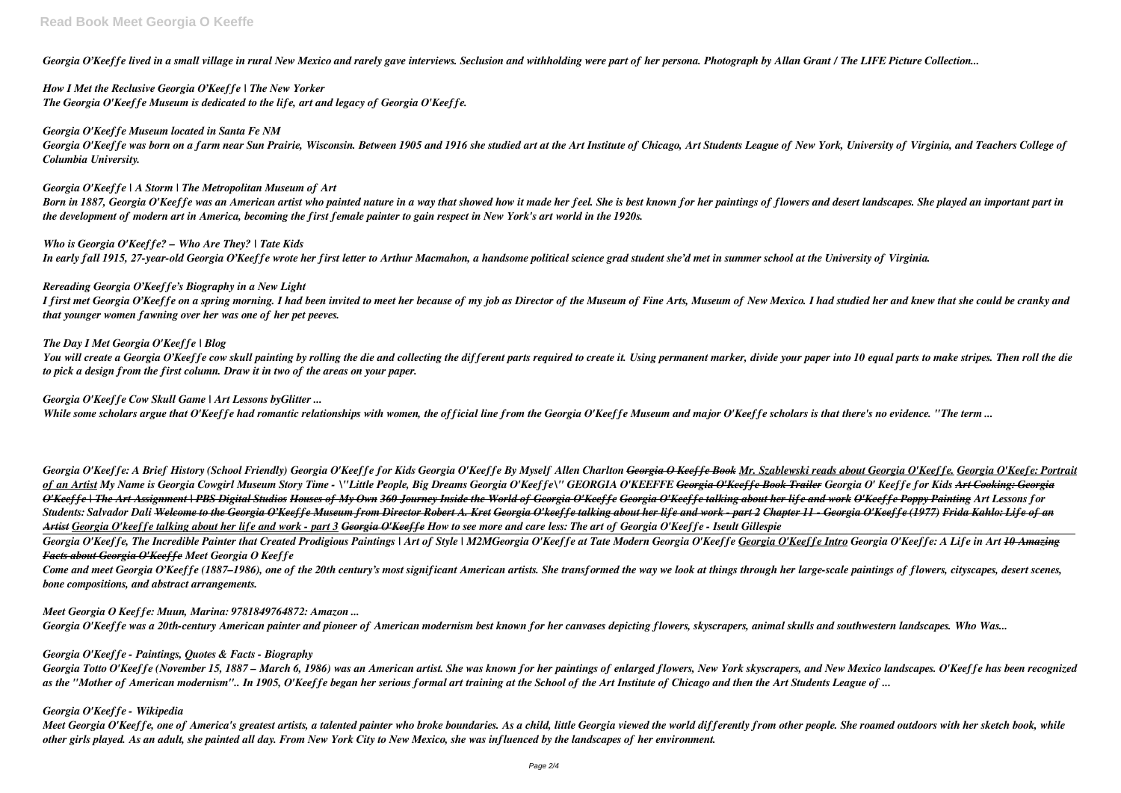*Georgia O'Keeffe lived in a small village in rural New Mexico and rarely gave interviews. Seclusion and withholding were part of her persona. Photograph by Allan Grant / The LIFE Picture Collection...*

*How I Met the Reclusive Georgia O'Keeffe | The New Yorker The Georgia O'Keeffe Museum is dedicated to the life, art and legacy of Georgia O'Keeffe.*

### *Georgia O'Keeffe Museum located in Santa Fe NM*

*Georgia O'Keeffe was born on a farm near Sun Prairie, Wisconsin. Between 1905 and 1916 she studied art at the Art Institute of Chicago, Art Students League of New York, University of Virginia, and Teachers College of Columbia University.*

### *Georgia O'Keeffe | A Storm | The Metropolitan Museum of Art*

*Born in 1887, Georgia O'Keeffe was an American artist who painted nature in a way that showed how it made her feel. She is best known for her paintings of flowers and desert landscapes. She played an important part in the development of modern art in America, becoming the first female painter to gain respect in New York's art world in the 1920s.*

You will create a Georgia O'Keeffe cow skull painting by rolling the die and collecting the different parts required to create it. Using permanent marker, divide your paper into 10 equal parts to make stripes. Then roll th *to pick a design from the first column. Draw it in two of the areas on your paper.*

*Who is Georgia O'Keeffe? – Who Are They? | Tate Kids In early fall 1915, 27-year-old Georgia O'Keeffe wrote her first letter to Arthur Macmahon, a handsome political science grad student she'd met in summer school at the University of Virginia.*

### *Rereading Georgia O'Keeffe's Biography in a New Light*

*I first met Georgia O'Keeffe on a spring morning. I had been invited to meet her because of my job as Director of the Museum of Fine Arts, Museum of New Mexico. I had studied her and knew that she could be cranky and that younger women fawning over her was one of her pet peeves.*

Georgia O'Keeffe: A Brief History (School Friendly) Georgia O'Keeffe for Kids Georgia O'Keeffe By Myself Allen Charlton <del>Georgia O Keeffe Book</del> Mr. Szablewski reads about Georgia O'Keeffe. Georgia O'Keefe: Portrait of an Artist My Name is Georgia Cowgirl Museum Story Time - \''Little People, Big Dreams Georgia O'Keeffe\'' GEORGIA O'KEEFFE <del>Georgia O'Keeffe Book Trailer</del> Georgia O'Keeffe for Kids Art Cooking: Georgia O'Keeffe | The Art Assignment | PBS Digital Studios Houses of My Own 360 Journey Inside the World of Georgia O'Keeffe Georgia O'Keeffe talking about her life and work O'Keeffe Poppy Painting Art Lessons for Students: Salvador Dali <del>Welcome to the Georgia O'Keeffe Museum from Director Robert A, Kret Georgia O'keeffe talking about her life and work - part 2 Chapter 11 - Georgia O'Keeffe (1977) Frida Kahlo: Life of an</del> *Artist Georgia O'keeffe talking about her life and work - part 3 Georgia O'Keeffe How to see more and care less: The art of Georgia O'Keeffe - Iseult Gillespie*

## *The Day I Met Georgia O'Keeffe | Blog*

Georgia O'Keeffe. The Incredible Painter that Created Prodigious Paintings | Art of Style | M2MGeorgia O'Keeffe at Tate Modern Georgia O'Keeffe Georgia O'Keeffe Intro Georgia O'Keeffe: A Life in Art <del>10 Amazing</del> *Facts about Georgia O'Keeffe Meet Georgia O Keeffe*

Come and meet Georgia O'Keeffe (1887–1986), one of the 20th century's most significant American artists. She transformed the way we look at things through her large-scale paintings of flowers, cityscapes, desert scenes, *bone compositions, and abstract arrangements.*

### *Georgia O'Keeffe Cow Skull Game | Art Lessons byGlitter ...*

*While some scholars argue that O'Keeffe had romantic relationships with women, the official line from the Georgia O'Keeffe Museum and major O'Keeffe scholars is that there's no evidence. "The term ...*

Meet Georgia O'Keeffe, one of America's greatest artists, a talented painter who broke boundaries. As a child, little Georgia viewed the world differently from other people. She roamed outdoors with her sketch book, while *other girls played. As an adult, she painted all day. From New York City to New Mexico, she was influenced by the landscapes of her environment.*

# *Meet Georgia O Keeffe: Muun, Marina: 9781849764872: Amazon ...*

*Georgia O'Keeffe was a 20th-century American painter and pioneer of American modernism best known for her canvases depicting flowers, skyscrapers, animal skulls and southwestern landscapes. Who Was...*

# *Georgia O'Keeffe - Paintings, Quotes & Facts - Biography*

*Georgia Totto O'Keeffe (November 15, 1887 – March 6, 1986) was an American artist. She was known for her paintings of enlarged flowers, New York skyscrapers, and New Mexico landscapes. O'Keeffe has been recognized as the "Mother of American modernism".. In 1905, O'Keeffe began her serious formal art training at the School of the Art Institute of Chicago and then the Art Students League of ...*

# *Georgia O'Keeffe - Wikipedia*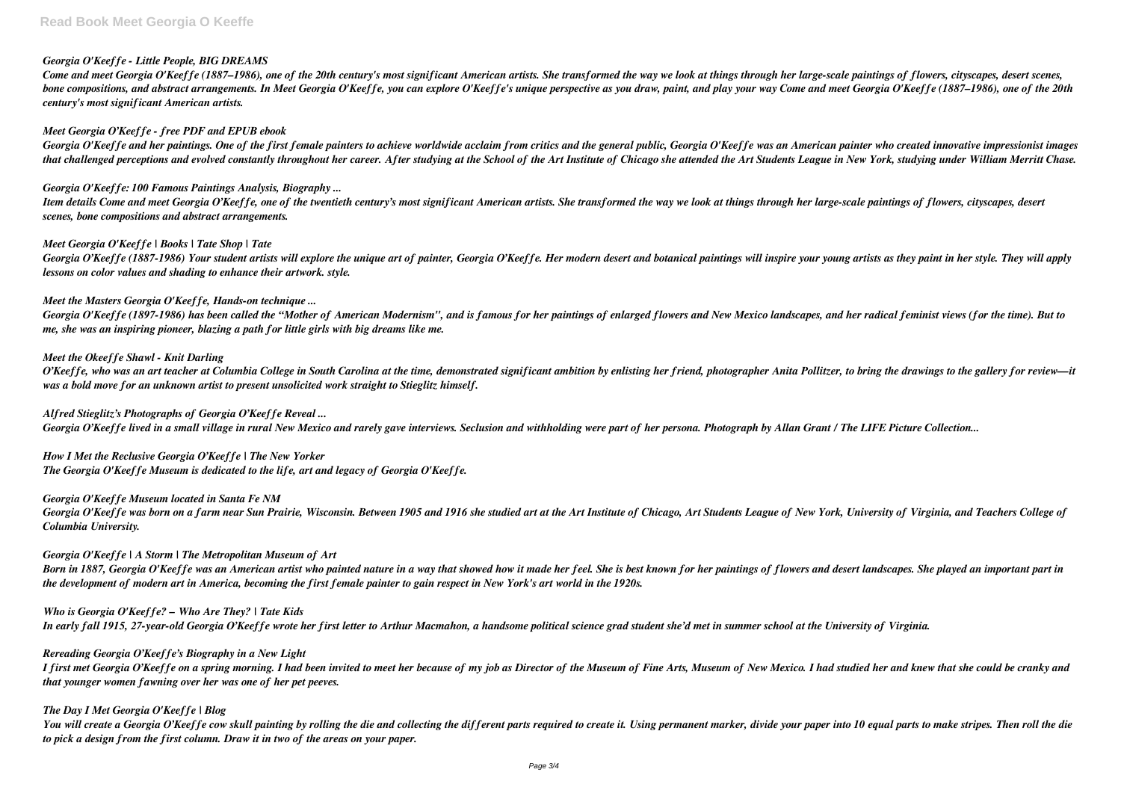# *Georgia O'Keeffe - Little People, BIG DREAMS*

Come and meet Georgia O'Keeffe (1887–1986), one of the 20th century's most significant American artists. She transformed the way we look at things through her large-scale paintings of flowers, cityscapes, desert scenes, *bone compositions, and abstract arrangements. In Meet Georgia O'Keeffe, you can explore O'Keeffe's unique perspective as you draw, paint, and play your way Come and meet Georgia O'Keeffe (1887–1986), one of the 20th century's most significant American artists.*

### *Meet Georgia O'Keeffe - free PDF and EPUB ebook*

Georgia O'Keeffe and her paintings. One of the first female painters to achieve worldwide acclaim from critics and the general public, Georgia O'Keeffe was an American painter who created innovative impressionist images that challenged perceptions and evolved constantly throughout her career. After studying at the School of the Art Institute of Chicago she attended the Art Students League in New York, studying under William Merritt Chase.

Georgia O'Keeffe (1887-1986) Your student artists will explore the unique art of painter, Georgia O'Keeffe. Her modern desert and botanical paintings will inspire your young artists as they paint in her style. They will ap *lessons on color values and shading to enhance their artwork. style.*

### *Georgia O'Keeffe: 100 Famous Paintings Analysis, Biography ...*

O'Keeffe, who was an art teacher at Columbia College in South Carolina at the time, demonstrated significant ambition by enlisting her friend, photographer Anita Pollitzer, to bring the drawings to the gallery for review—i *was a bold move for an unknown artist to present unsolicited work straight to Stieglitz himself.*

*Item details Come and meet Georgia O'Keeffe, one of the twentieth century's most significant American artists. She transformed the way we look at things through her large-scale paintings of flowers, cityscapes, desert scenes, bone compositions and abstract arrangements.*

### *Meet Georgia O'Keeffe | Books | Tate Shop | Tate*

### *Meet the Masters Georgia O'Keeffe, Hands-on technique ...*

*Georgia O'Keeffe (1897-1986) has been called the "Mother of American Modernism", and is famous for her paintings of enlarged flowers and New Mexico landscapes, and her radical feminist views (for the time). But to me, she was an inspiring pioneer, blazing a path for little girls with big dreams like me.*

### *Meet the Okeeffe Shawl - Knit Darling*

You will create a Georgia O'Keeffe cow skull painting by rolling the die and collecting the different parts required to create it. Using permanent marker, divide your paper into 10 equal parts to make stripes. Then roll th *to pick a design from the first column. Draw it in two of the areas on your paper.*

### *Alfred Stieglitz's Photographs of Georgia O'Keeffe Reveal ...*

*Georgia O'Keeffe lived in a small village in rural New Mexico and rarely gave interviews. Seclusion and withholding were part of her persona. Photograph by Allan Grant / The LIFE Picture Collection...*

*How I Met the Reclusive Georgia O'Keeffe | The New Yorker The Georgia O'Keeffe Museum is dedicated to the life, art and legacy of Georgia O'Keeffe.*

### *Georgia O'Keeffe Museum located in Santa Fe NM*

*Georgia O'Keeffe was born on a farm near Sun Prairie, Wisconsin. Between 1905 and 1916 she studied art at the Art Institute of Chicago, Art Students League of New York, University of Virginia, and Teachers College of Columbia University.*

### *Georgia O'Keeffe | A Storm | The Metropolitan Museum of Art*

*Born in 1887, Georgia O'Keeffe was an American artist who painted nature in a way that showed how it made her feel. She is best known for her paintings of flowers and desert landscapes. She played an important part in the development of modern art in America, becoming the first female painter to gain respect in New York's art world in the 1920s.*

*Who is Georgia O'Keeffe? – Who Are They? | Tate Kids In early fall 1915, 27-year-old Georgia O'Keeffe wrote her first letter to Arthur Macmahon, a handsome political science grad student she'd met in summer school at the University of Virginia.*

#### *Rereading Georgia O'Keeffe's Biography in a New Light*

*I first met Georgia O'Keeffe on a spring morning. I had been invited to meet her because of my job as Director of the Museum of Fine Arts, Museum of New Mexico. I had studied her and knew that she could be cranky and that younger women fawning over her was one of her pet peeves.*

### *The Day I Met Georgia O'Keeffe | Blog*